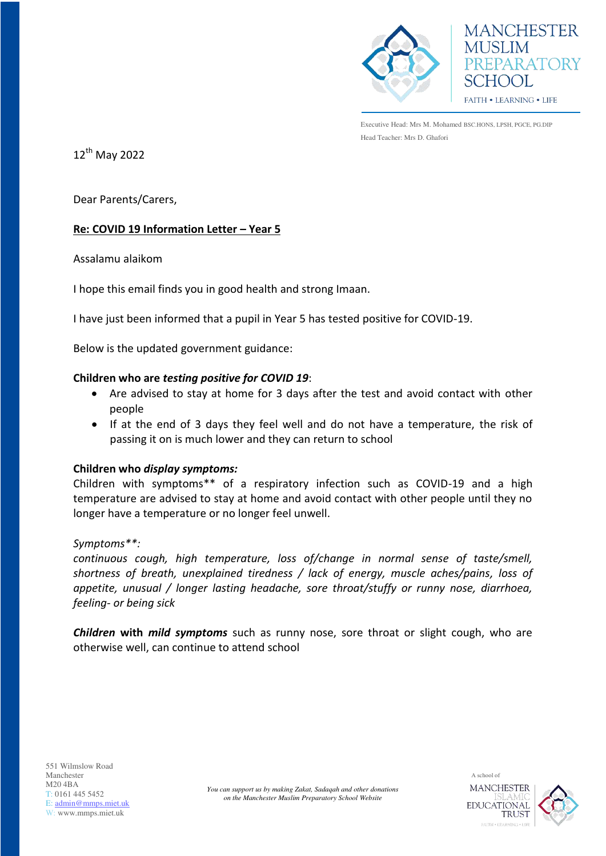



Executive Head: Mrs M. Mohamed BSC.HONS, LPSH, PGCE, PG.DIP Head Teacher: Mrs D. Ghafori

12<sup>th</sup> May 2022

Dear Parents/Carers,

# **Re: COVID 19 Information Letter – Year 5**

Assalamu alaikom

I hope this email finds you in good health and strong Imaan.

I have just been informed that a pupil in Year 5 has tested positive for COVID-19.

Below is the updated government guidance:

## **Children who are** *testing positive for COVID 19*:

- Are advised to stay at home for 3 days after the test and avoid contact with other people
- If at the end of 3 days they feel well and do not have a temperature, the risk of passing it on is much lower and they can return to school

## **Children who** *display symptoms:*

Children with symptoms\*\* of a respiratory infection such as COVID-19 and a high temperature are advised to stay at home and avoid contact with other people until they no longer have a temperature or no longer feel unwell.

#### *Symptoms\*\*:*

*continuous cough, high temperature, loss of/change in normal sense of taste/smell, shortness of breath, unexplained tiredness / lack of energy, muscle aches/pains, loss of appetite, unusual / longer lasting headache, sore throat/stuffy or runny nose, diarrhoea, feeling- or being sick* 

*Children* **with** *mild symptoms* such as runny nose, sore throat or slight cough, who are otherwise well, can continue to attend school